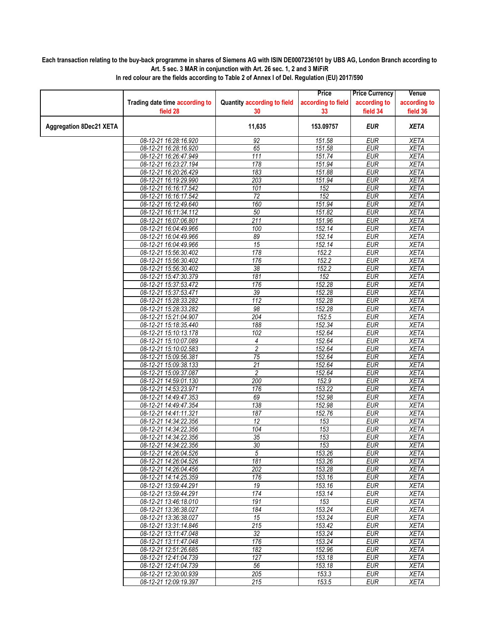## **Each transaction relating to the buy-back programme in shares of Siemens AG with ISIN DE0007236101 by UBS AG, London Branch according to Art. 5 sec. 3 MAR in conjunction with Art. 26 sec. 1, 2 and 3 MiFiR**

|                                |                                                |                                    | Price              | <b>Price Currency</b>    | Venue                      |
|--------------------------------|------------------------------------------------|------------------------------------|--------------------|--------------------------|----------------------------|
|                                | Trading date time according to                 | <b>Quantity according to field</b> | according to field | according to             | according to               |
|                                | field 28                                       | 30                                 | 33                 | field 34                 | field 36                   |
| <b>Aggregation 8Dec21 XETA</b> |                                                | 11,635                             | 153.09757          | <b>EUR</b>               | <b>XETA</b>                |
|                                |                                                |                                    |                    |                          |                            |
|                                | 08-12-21 16:28:16.920                          | 92                                 | 151.58             | <b>EUR</b>               | <b>XETA</b>                |
|                                | 08-12-21 16:28:16.920                          | 65                                 | 151.58             | <b>EUR</b>               | <b>XETA</b>                |
|                                | 08-12-21 16:26:47.949                          | 111                                | 151.74             | <b>EUR</b>               | <b>XETA</b>                |
|                                | 08-12-21 16:23:27.194                          | 178                                | 151.94             | <b>EUR</b>               | <b>XETA</b>                |
|                                | 08-12-21 16:20:26.429                          | 183                                | 151.88             | <b>EUR</b>               | <b>XETA</b>                |
|                                | 08-12-21 16:19:29.990                          | 203                                | 151.94             | <b>EUR</b>               | <b>XETA</b>                |
|                                | 08-12-21 16:16:17.542                          | 101                                | 152                | <b>EUR</b>               | <b>XETA</b>                |
|                                | 08-12-21 16:16:17.542                          | $\overline{72}$                    | 152                | <b>EUR</b>               | <b>XETA</b>                |
|                                | 08-12-21 16:12:49.640                          | 160                                | 151.94             | <b>EUR</b>               | <b>XETA</b>                |
|                                | 08-12-21 16:11:34.112                          | 50                                 | 151.82             | <b>EUR</b>               | <b>XETA</b>                |
|                                | 08-12-21 16:07:06.801                          | $\overline{211}$                   | 151.96             | <b>EUR</b>               | <b>XETA</b>                |
|                                | 08-12-21 16:04:49.966                          | 100                                | 152.14             | <b>EUR</b>               | <b>XETA</b>                |
|                                | 08-12-21 16:04:49.966                          | 89                                 | 152.14             | <b>EUR</b>               | <b>XETA</b>                |
|                                | 08-12-21 16:04:49.966                          | 15                                 | 152.14             | <b>EUR</b>               | <b>XETA</b>                |
|                                | 08-12-21 15:56:30.402                          | 178                                | $\overline{152.2}$ | <b>EUR</b>               | <b>XETA</b>                |
|                                | 08-12-21 15:56:30.402                          | 176                                | 152.2              | <b>EUR</b>               | <b>XETA</b>                |
|                                | 08-12-21 15:56:30.402                          | $\overline{38}$                    | 152.2              | <b>EUR</b>               | <b>XETA</b>                |
|                                | 08-12-21 15:47:30.379                          | 181                                | 152                | <b>EUR</b>               | <b>XETA</b>                |
|                                | 08-12-21 15:37:53.472                          | 176                                | 152.28             | <b>EUR</b>               | <b>XETA</b>                |
|                                | 08-12-21 15:37:53.471                          | 39                                 | 152.28             | <b>EUR</b>               | <b>XETA</b>                |
|                                | 08-12-21 15:28:33.282                          | $\overline{112}$                   | 152.28             | <b>EUR</b>               | <b>XETA</b>                |
|                                | 08-12-21 15:28:33.282                          | 98                                 | 152.28             | <b>EUR</b>               | <b>XETA</b>                |
|                                | 08-12-21 15:21:04.907                          | 204                                | 152.5              | <b>EUR</b>               | <b>XETA</b>                |
|                                | 08-12-21 15:18:35.440                          | 188                                | 152.34             | <b>EUR</b>               | <b>XETA</b>                |
|                                | 08-12-21 15:10:13.178                          | 102                                | 152.64             | <b>EUR</b>               | <b>XETA</b>                |
|                                | 08-12-21 15:10:07.089                          | 4                                  | 152.64             | <b>EUR</b>               | <b>XETA</b>                |
|                                | 08-12-21 15:10:02.583                          | $\overline{2}$                     | 152.64             | <b>EUR</b>               | <b>XETA</b>                |
|                                | 08-12-21 15:09:56.381                          | 75<br>$\overline{21}$              | 152.64             | <b>EUR</b><br><b>EUR</b> | <b>XETA</b>                |
|                                | 08-12-21 15:09:38.133                          | $\overline{2}$                     | 152.64<br>152.64   | <b>EUR</b>               | <b>XETA</b><br><b>XETA</b> |
|                                | 08-12-21 15:09:37.087                          |                                    |                    |                          |                            |
|                                | 08-12-21 14:59:01.130<br>08-12-21 14:53:23.971 | 200<br>176                         | 152.9<br>153.22    | <b>EUR</b><br><b>EUR</b> | <b>XETA</b><br><b>XETA</b> |
|                                | 08-12-21 14:49:47.353                          | 69                                 | 152.98             | <b>EUR</b>               | <b>XETA</b>                |
|                                | 08-12-21 14:49:47.354                          | 138                                | 152.98             | <b>EUR</b>               | <b>XETA</b>                |
|                                | 08-12-21 14:41:11.321                          | 187                                | 152.76             | <b>EUR</b>               | <b>XETA</b>                |
|                                | 08-12-21 14:34:22.356                          | 12                                 | 153                | <b>EUR</b>               | <b>XETA</b>                |
|                                | 08-12-21 14:34:22.356                          | 104                                | 153                | <b>EUR</b>               | <b>XETA</b>                |
|                                | 08-12-21 14:34:22.356                          | 35                                 | 153                | <b>EUR</b>               | XETA                       |
|                                | 08-12-21 14:34:22.356                          | 30 <sub>o</sub>                    | 153                | <b>EUR</b>               | <b>XETA</b>                |
|                                | 08-12-21 14:26:04.526                          | 5                                  | 153.26             | <b>EUR</b>               | XETA                       |
|                                | 08-12-21 14:26:04.526                          | 181                                | 153.26             | <b>EUR</b>               | <b>XETA</b>                |
|                                | 08-12-21 14:26:04.456                          | 202                                | 153.28             | EUR                      | <b>XETA</b>                |
|                                | 08-12-21 14:14:25.359                          | 176                                | 153.16             | <b>EUR</b>               | XETA                       |
|                                | 08-12-21 13:59:44.291                          | 19                                 | 153.16             | <b>EUR</b>               | <b>XETA</b>                |
|                                | 08-12-21 13:59:44.291                          | 174                                | 153.14             | EUR                      | <b>XETA</b>                |
|                                | 08-12-21 13:46:18.010                          | 191                                | 153                | <b>EUR</b>               | <b>XETA</b>                |
|                                | 08-12-21 13:36:38.027                          | 184                                | 153.24             | <b>EUR</b>               | <b>XETA</b>                |
|                                | 08-12-21 13:36:38.027                          | 15                                 | 153.24             | <b>EUR</b>               | <b>XETA</b>                |
|                                | 08-12-21 13:31:14.846                          | 215                                | 153.42             | <b>EUR</b>               | XETA                       |
|                                | 08-12-21 13:11:47.048                          | 32                                 | 153.24             | <b>EUR</b>               | <b>XETA</b>                |
|                                | 08-12-21 13:11:47.048                          | 176                                | 153.24             | <b>EUR</b>               | <b>XETA</b>                |
|                                | 08-12-21 12:51:26.685                          | 182                                | 152.96             | <b>EUR</b>               | <b>XETA</b>                |
|                                | 08-12-21 12:41:04.739                          | 127                                | 153.18             | <b>EUR</b>               | <b>XETA</b>                |
|                                | 08-12-21 12:41:04.739                          | $\overline{56}$                    | 153.18             | <b>EUR</b>               | <b>XETA</b>                |
|                                | 08-12-21 12:30:00.939                          | 205                                | 153.3              | <b>EUR</b>               | <b>XETA</b>                |
|                                | 08-12-21 12:09:19.397                          | 215                                | 153.5              | EUR                      | XETA                       |

**In red colour are the fields according to Table 2 of Annex I of Del. Regulation (EU) 2017/590**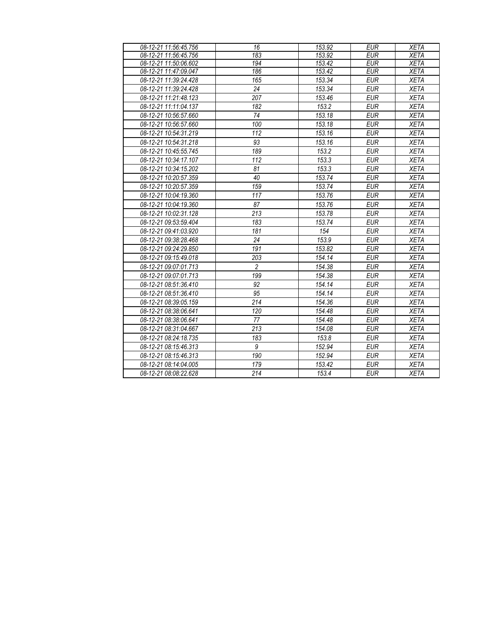| 08-12-21 11:56:45.756 | 16             | 153.92 | <b>EUR</b> | <b>XETA</b> |
|-----------------------|----------------|--------|------------|-------------|
| 08-12-21 11:56:45.756 | 183            | 153.92 | <b>EUR</b> | <b>XETA</b> |
| 08-12-21 11:50:06.602 | 194            | 153.42 | <b>EUR</b> | <b>XETA</b> |
| 08-12-21 11:47:09.047 | 186            | 153.42 | <b>EUR</b> | <b>XETA</b> |
| 08-12-21 11:39:24.428 | 165            | 153.34 | <b>EUR</b> | <b>XETA</b> |
| 08-12-21 11:39:24.428 | 24             | 153.34 | <b>EUR</b> | <b>XETA</b> |
| 08-12-21 11:21:48.123 | 207            | 153.46 | <b>EUR</b> | <b>XETA</b> |
| 08-12-21 11:11:04.137 | 182            | 153.2  | <b>EUR</b> | <b>XETA</b> |
| 08-12-21 10:56:57.660 | 74             | 153.18 | <b>EUR</b> | <b>XETA</b> |
| 08-12-21 10:56:57.660 | 100            | 153.18 | <b>EUR</b> | <b>XETA</b> |
| 08-12-21 10:54:31.219 | 112            | 153.16 | <b>EUR</b> | <b>XETA</b> |
| 08-12-21 10:54:31.218 | 93             | 153.16 | <b>EUR</b> | <b>XETA</b> |
| 08-12-21 10:45:55.745 | 189            | 153.2  | <b>EUR</b> | <b>XETA</b> |
| 08-12-21 10:34:17.107 | 112            | 153.3  | <b>EUR</b> | <b>XETA</b> |
| 08-12-21 10:34:15.202 | 81             | 153.3  | <b>EUR</b> | <b>XETA</b> |
| 08-12-21 10:20:57.359 | 40             | 153.74 | <b>EUR</b> | <b>XETA</b> |
| 08-12-21 10:20:57.359 | 159            | 153.74 | <b>EUR</b> | <b>XETA</b> |
| 08-12-21 10:04:19.360 | 117            | 153.76 | <b>EUR</b> | <b>XETA</b> |
| 08-12-21 10:04:19.360 | 87             | 153.76 | <b>EUR</b> | <b>XETA</b> |
| 08-12-21 10:02:31.128 | 213            | 153.78 | <b>EUR</b> | <b>XETA</b> |
| 08-12-21 09:53:59.404 | 183            | 153.74 | <b>EUR</b> | <b>XETA</b> |
| 08-12-21 09:41:03.920 | 181            | 154    | <b>EUR</b> | <b>XETA</b> |
| 08-12-21 09:38:28.468 | 24             | 153.9  | <b>EUR</b> | <b>XETA</b> |
| 08-12-21 09:24:29.850 | 191            | 153.82 | <b>EUR</b> | <b>XETA</b> |
| 08-12-21 09:15:49.018 | 203            | 154.14 | <b>EUR</b> | <b>XETA</b> |
| 08-12-21 09:07:01.713 | $\overline{2}$ | 154.38 | <b>EUR</b> | <b>XETA</b> |
| 08-12-21 09:07:01.713 | 199            | 154.38 | <b>EUR</b> | <b>XETA</b> |
| 08-12-21 08:51:36.410 | 92             | 154.14 | <b>EUR</b> | <b>XETA</b> |
| 08-12-21 08:51:36.410 | 95             | 154.14 | <b>EUR</b> | <b>XETA</b> |
| 08-12-21 08:39:05.159 | 214            | 154.36 | <b>EUR</b> | <b>XETA</b> |
| 08-12-21 08:38:06.641 | 120            | 154.48 | <b>EUR</b> | <b>XETA</b> |
| 08-12-21 08:38:06.641 | 77             | 154.48 | <b>EUR</b> | <b>XETA</b> |
| 08-12-21 08:31:04.667 | 213            | 154.08 | <b>EUR</b> | <b>XETA</b> |
| 08-12-21 08:24:18.735 | 183            | 153.8  | <b>EUR</b> | <b>XETA</b> |
| 08-12-21 08:15:46.313 | 9              | 152.94 | <b>EUR</b> | <b>XETA</b> |
| 08-12-21 08:15:46.313 | 190            | 152.94 | <b>EUR</b> | <b>XETA</b> |
| 08-12-21 08:14:04.005 | 179            | 153.42 | <b>EUR</b> | <b>XETA</b> |
| 08-12-21 08:08:22.628 | 214            | 153.4  | <b>EUR</b> | XETA        |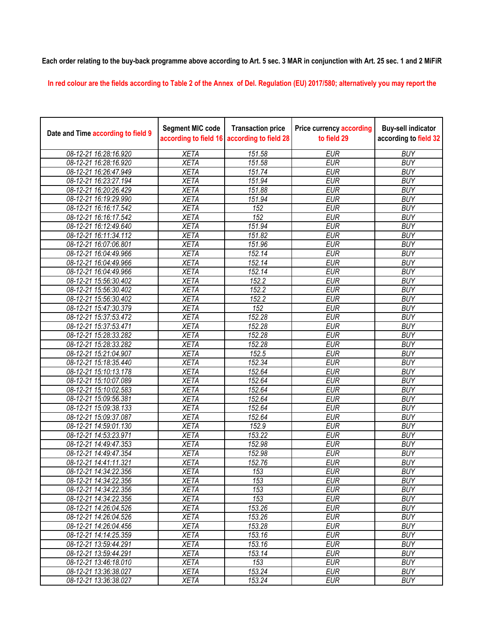**Each order relating to the buy-back programme above according to Art. 5 sec. 3 MAR in conjunction with Art. 25 sec. 1 and 2 MiFiR** 

**In red colour are the fields according to Table 2 of the Annex of Del. Regulation (EU) 2017/580; alternatively you may report the** 

| Date and Time according to field 9 | <b>Segment MIC code</b><br>according to field 16 | <b>Transaction price</b><br>according to field 28 | <b>Price currency according</b><br>to field 29 | <b>Buy-sell indicator</b><br>according to field 32 |
|------------------------------------|--------------------------------------------------|---------------------------------------------------|------------------------------------------------|----------------------------------------------------|
| 08-12-21 16:28:16.920              | <b>XETA</b>                                      | 151.58                                            | <b>EUR</b>                                     | <b>BUY</b>                                         |
| 08-12-21 16:28:16.920              | <b>XETA</b>                                      | 151.58                                            | <b>EUR</b>                                     | <b>BUY</b>                                         |
| 08-12-21 16:26:47.949              | <b>XETA</b>                                      | 151.74                                            | <b>EUR</b>                                     | <b>BUY</b>                                         |
| 08-12-21 16:23:27.194              | <b>XETA</b>                                      | 151.94                                            | <b>EUR</b>                                     | <b>BUY</b>                                         |
| 08-12-21 16:20:26.429              | <b>XETA</b>                                      | 151.88                                            | <b>EUR</b>                                     | <b>BUY</b>                                         |
| 08-12-21 16:19:29.990              | <b>XETA</b>                                      | 151.94                                            | <b>EUR</b>                                     | <b>BUY</b>                                         |
| 08-12-21 16:16:17.542              | <b>XETA</b>                                      | 152                                               | <b>EUR</b>                                     | <b>BUY</b>                                         |
| 08-12-21 16:16:17.542              | <b>XETA</b>                                      | 152                                               | <b>EUR</b>                                     | <b>BUY</b>                                         |
| 08-12-21 16:12:49.640              | <b>XETA</b>                                      | 151.94                                            | <b>EUR</b>                                     | <b>BUY</b>                                         |
| 08-12-21 16:11:34.112              | <b>XETA</b>                                      | 151.82                                            | <b>EUR</b>                                     | <b>BUY</b>                                         |
| 08-12-21 16:07:06.801              | <b>XETA</b>                                      | 151.96                                            | <b>EUR</b>                                     | <b>BUY</b>                                         |
| 08-12-21 16:04:49.966              | <b>XETA</b>                                      | 152.14                                            | <b>EUR</b>                                     | <b>BUY</b>                                         |
| 08-12-21 16:04:49.966              | <b>XETA</b>                                      | 152.14                                            | <b>EUR</b>                                     | <b>BUY</b>                                         |
| 08-12-21 16:04:49.966              | <b>XETA</b>                                      | 152.14                                            | <b>EUR</b>                                     | <b>BUY</b>                                         |
| 08-12-21 15:56:30.402              | <b>XETA</b>                                      | 152.2                                             | <b>EUR</b>                                     | <b>BUY</b>                                         |
| 08-12-21 15:56:30.402              | <b>XETA</b>                                      | 152.2                                             | <b>EUR</b>                                     | <b>BUY</b>                                         |
| 08-12-21 15:56:30.402              | <b>XETA</b>                                      | 152.2                                             | <b>EUR</b>                                     | <b>BUY</b>                                         |
| 08-12-21 15:47:30.379              | <b>XETA</b>                                      | 152                                               | <b>EUR</b>                                     | <b>BUY</b>                                         |
| 08-12-21 15:37:53.472              | <b>XETA</b>                                      | 152.28                                            | <b>EUR</b>                                     | <b>BUY</b>                                         |
| 08-12-21 15:37:53.471              | <b>XETA</b>                                      | 152.28                                            | <b>EUR</b>                                     | <b>BUY</b>                                         |
| 08-12-21 15:28:33.282              | <b>XETA</b>                                      | 152.28                                            | <b>EUR</b>                                     | <b>BUY</b>                                         |
| 08-12-21 15:28:33.282              | <b>XETA</b>                                      | 152.28                                            | <b>EUR</b>                                     | <b>BUY</b>                                         |
| 08-12-21 15:21:04.907              | <b>XETA</b>                                      | 152.5                                             | <b>EUR</b>                                     | <b>BUY</b>                                         |
| 08-12-21 15:18:35.440              | <b>XETA</b>                                      | 152.34                                            | <b>EUR</b>                                     | <b>BUY</b>                                         |
| 08-12-21 15:10:13.178              | <b>XETA</b>                                      | 152.64                                            | <b>EUR</b>                                     | <b>BUY</b>                                         |
| 08-12-21 15:10:07.089              | <b>XETA</b>                                      | 152.64                                            | <b>EUR</b>                                     | <b>BUY</b>                                         |
| 08-12-21 15:10:02.583              | <b>XETA</b>                                      | 152.64                                            | <b>EUR</b>                                     | <b>BUY</b>                                         |
| 08-12-21 15:09:56.381              | <b>XETA</b>                                      | 152.64                                            | <b>EUR</b>                                     | <b>BUY</b>                                         |
| 08-12-21 15:09:38.133              | <b>XETA</b>                                      | 152.64                                            | <b>EUR</b>                                     | <b>BUY</b>                                         |
| 08-12-21 15:09:37.087              | <b>XETA</b>                                      | 152.64                                            | <b>EUR</b>                                     | <b>BUY</b>                                         |
| 08-12-21 14:59:01.130              | <b>XETA</b>                                      | 152.9                                             | <b>EUR</b>                                     | <b>BUY</b>                                         |
| 08-12-21 14:53:23.971              | <b>XETA</b>                                      | 153.22                                            | <b>EUR</b>                                     | <b>BUY</b>                                         |
| 08-12-21 14:49:47.353              | <b>XETA</b>                                      | 152.98                                            | <b>EUR</b>                                     | <b>BUY</b>                                         |
| 08-12-21 14:49:47.354              | <b>XETA</b>                                      | 152.98                                            | <b>EUR</b>                                     | <b>BUY</b>                                         |
| 08-12-21 14:41:11.321              | <b>XETA</b>                                      | 152.76                                            | <b>EUR</b>                                     | <b>BUY</b>                                         |
| 08-12-21 14:34:22.356              | <b>XETA</b>                                      | 153                                               | <b>EUR</b>                                     | <b>BUY</b>                                         |
| 08-12-21 14:34:22.356              | <b>XETA</b>                                      | 153                                               | <b>EUR</b>                                     | <b>BUY</b>                                         |
| 08-12-21 14:34:22.356              | <b>XETA</b>                                      | 153                                               | <b>EUR</b>                                     | <b>BUY</b>                                         |
| 08-12-21 14:34:22.356              | <b>XETA</b>                                      | 153                                               | <b>EUR</b>                                     | <b>BUY</b>                                         |
| 08-12-21 14:26:04.526              | <b>XETA</b>                                      | 153.26                                            | <b>EUR</b>                                     | <b>BUY</b>                                         |
| 08-12-21 14:26:04.526              | <b>XETA</b>                                      | 153.26                                            | <b>EUR</b>                                     | <b>BUY</b>                                         |
| 08-12-21 14:26:04.456              | <b>XETA</b>                                      | 153.28                                            | <b>EUR</b>                                     | <b>BUY</b>                                         |
| 08-12-21 14:14:25.359              | <b>XETA</b>                                      | 153.16                                            | <b>EUR</b>                                     | <b>BUY</b>                                         |
| 08-12-21 13:59:44.291              | <b>XETA</b>                                      | 153.16                                            | <b>EUR</b>                                     | <b>BUY</b>                                         |
| 08-12-21 13:59:44.291              | <b>XETA</b>                                      | 153.14                                            | <b>EUR</b>                                     | <b>BUY</b>                                         |
| 08-12-21 13:46:18.010              | <b>XETA</b>                                      | 153                                               | <b>EUR</b>                                     | <b>BUY</b>                                         |
| 08-12-21 13:36:38.027              | <b>XETA</b>                                      | 153.24                                            | <b>EUR</b>                                     | <b>BUY</b>                                         |
| 08-12-21 13:36:38.027              | <b>XETA</b>                                      | 153.24                                            | <b>EUR</b>                                     | <b>BUY</b>                                         |